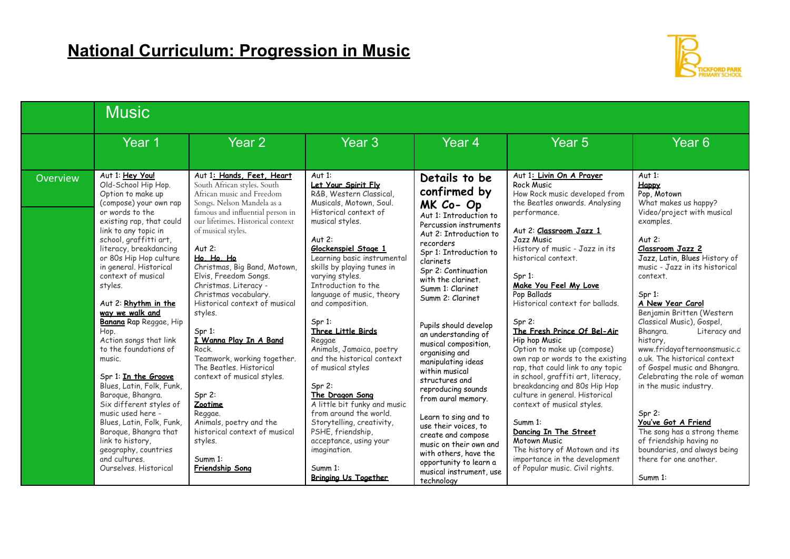

|          | <b>Music</b>                                                                                                                                                                                                                                                                                                                                                                                                                                                                                                                                                                                                                                                                                                          |                                                                                                                                                                                                                                                                                                                                                                                                                                                                                                                                                                                                                                                                                   |                                                                                                                                                                                                                                                                                                                                                                                                                                                                                                                                                                                                                                                                                        |                                                                                                                                                                                                                                                                                                                                                                                                                                                                                                                                                                                                                                                              |                                                                                                                                                                                                                                                                                                                                                                                                                                                                                                                                                                                                                                                                                                                                                                                                       |                                                                                                                                                                                                                                                                                                                                                                                                                                                                                                                                                                                                                                                                                    |  |  |
|----------|-----------------------------------------------------------------------------------------------------------------------------------------------------------------------------------------------------------------------------------------------------------------------------------------------------------------------------------------------------------------------------------------------------------------------------------------------------------------------------------------------------------------------------------------------------------------------------------------------------------------------------------------------------------------------------------------------------------------------|-----------------------------------------------------------------------------------------------------------------------------------------------------------------------------------------------------------------------------------------------------------------------------------------------------------------------------------------------------------------------------------------------------------------------------------------------------------------------------------------------------------------------------------------------------------------------------------------------------------------------------------------------------------------------------------|----------------------------------------------------------------------------------------------------------------------------------------------------------------------------------------------------------------------------------------------------------------------------------------------------------------------------------------------------------------------------------------------------------------------------------------------------------------------------------------------------------------------------------------------------------------------------------------------------------------------------------------------------------------------------------------|--------------------------------------------------------------------------------------------------------------------------------------------------------------------------------------------------------------------------------------------------------------------------------------------------------------------------------------------------------------------------------------------------------------------------------------------------------------------------------------------------------------------------------------------------------------------------------------------------------------------------------------------------------------|-------------------------------------------------------------------------------------------------------------------------------------------------------------------------------------------------------------------------------------------------------------------------------------------------------------------------------------------------------------------------------------------------------------------------------------------------------------------------------------------------------------------------------------------------------------------------------------------------------------------------------------------------------------------------------------------------------------------------------------------------------------------------------------------------------|------------------------------------------------------------------------------------------------------------------------------------------------------------------------------------------------------------------------------------------------------------------------------------------------------------------------------------------------------------------------------------------------------------------------------------------------------------------------------------------------------------------------------------------------------------------------------------------------------------------------------------------------------------------------------------|--|--|
|          | Year 1                                                                                                                                                                                                                                                                                                                                                                                                                                                                                                                                                                                                                                                                                                                | Year <sub>2</sub>                                                                                                                                                                                                                                                                                                                                                                                                                                                                                                                                                                                                                                                                 | Year <sub>3</sub>                                                                                                                                                                                                                                                                                                                                                                                                                                                                                                                                                                                                                                                                      | Year <sub>4</sub>                                                                                                                                                                                                                                                                                                                                                                                                                                                                                                                                                                                                                                            | Year <sub>5</sub>                                                                                                                                                                                                                                                                                                                                                                                                                                                                                                                                                                                                                                                                                                                                                                                     | Year <sub>6</sub>                                                                                                                                                                                                                                                                                                                                                                                                                                                                                                                                                                                                                                                                  |  |  |
| Overview | Aut 1: Hey You!<br>Old-School Hip Hop.<br>Option to make up<br>(compose) your own rap<br>or words to the<br>existing rap, that could<br>link to any topic in<br>school, graffitti art,<br>literacy, breakdancing<br>or 80s Hip Hop culture<br>in general. Historical<br>context of musical<br>styles.<br>Aut 2: Rhythm in the<br>way we walk and<br>Banana Rap Reggae, Hip<br>Hop.<br>Action songs that link<br>to the foundations of<br>music.<br>Spr 1: In the Groove<br>Blues, Latin, Folk, Funk,<br>Baroque, Bhangra.<br>Six different styles of<br>music used here -<br>Blues, Latin, Folk, Funk,<br>Baroque, Bhangra that<br>link to history,<br>geography, countries<br>and cultures.<br>Ourselves. Historical | Aut 1: Hands, Feet, Heart<br>South African styles. South<br>African music and Freedom<br>Songs. Nelson Mandela as a<br>famous and influential person in<br>our lifetimes. Historical context<br>of musical styles.<br>Aut $2$ :<br>Ho. Ho. Ho<br>Christmas, Big Band, Motown,<br>Elvis, Freedom Songs.<br>Christmas. Literacy -<br>Christmas vocabulary.<br>Historical context of musical<br>styles.<br>$Spr 1$ :<br>I Wanna Play In A Band<br>Rock.<br>Teamwork, working together.<br>The Beatles, Historical<br>context of musical styles.<br>Spr 2:<br>Zootime<br>Reggae.<br>Animals, poetry and the<br>historical context of musical<br>styles.<br>Summ 1:<br>Friendship Song | Aut $1:$<br>Let Your Spirit Fly<br>R&B, Western Classical,<br>Musicals, Motown, Soul.<br>Historical context of<br>musical styles.<br>Aut $2:$<br>Glockenspiel Stage 1<br>Learning basic instrumental<br>skills by playing tunes in<br>varying styles.<br>Introduction to the<br>language of music, theory<br>and composition.<br>Spr 1:<br>Three Little Birds<br>Reggae<br>Animals, Jamaica, poetry<br>and the historical context<br>of musical styles<br>$Spr 2$ :<br>The Dragon Song<br>A little bit funky and music<br>from around the world.<br>Storytelling, creativity,<br>PSHE, friendship,<br>acceptance, using your<br>imagination.<br>Summ 1:<br><b>Bringing Us Together</b> | Details to be<br>confirmed by<br>MK Co-Op<br>Aut 1: Introduction to<br>Percussion instruments<br>Aut 2: Introduction to<br>recorders<br>Spr 1: Introduction to<br>clarinets<br>Spr 2: Continuation<br>with the clarinet.<br>Summ 1: Clarinet<br>Summ 2: Clarinet<br>Pupils should develop<br>an understanding of<br>musical composition,<br>organising and<br>manipulating ideas<br>within musical<br>structures and<br>reproducing sounds<br>from aural memory.<br>Learn to sing and to<br>use their voices, to<br>create and compose<br>music on their own and<br>with others, have the<br>opportunity to learn a<br>musical instrument, use<br>technology | Aut 1: Livin On A Prayer<br><b>Rock Music</b><br>How Rock music developed from<br>the Beatles onwards. Analysing<br>performance.<br>Aut 2: Classroom Jazz 1<br><b>Jazz Music</b><br>History of music - Jazz in its<br>historical context.<br>$Spr 1$ :<br>Make You Feel My Love<br>Pop Ballads<br>Historical context for ballads.<br>$Spr 2$ :<br>The Fresh Prince Of Bel-Air<br>Hip hop Music<br>Option to make up (compose)<br>own rap or words to the existing<br>rap, that could link to any topic<br>in school, graffiti art, literacy,<br>breakdancing and 80s Hip Hop<br>culture in general. Historical<br>context of musical styles.<br>Summ 1:<br>Dancing In The Street<br>Motown Music<br>The history of Motown and its<br>importance in the development<br>of Popular music. Civil rights. | Aut $1:$<br>Happy<br>Pop, Motown<br>What makes us happy?<br>Video/project with musical<br>examples.<br>Aut $2:$<br>Classroom Jazz 2<br>Jazz, Latin, Blues History of<br>music - Jazz in its historical<br>context.<br>$Spr 1$ :<br>A New Year Carol<br>Benjamin Britten (Western<br>Classical Music), Gospel,<br>Bhangra.<br>Literacy and<br>history,<br>www.fridayafternoonsmusic.c<br>o.uk. The historical context<br>of Gospel music and Bhangra.<br>Celebrating the role of woman<br>in the music industry.<br>$Spr 2$ :<br>You've Got A Friend<br>The song has a strong theme<br>of friendship having no<br>boundaries, and always being<br>there for one another.<br>Summ 1: |  |  |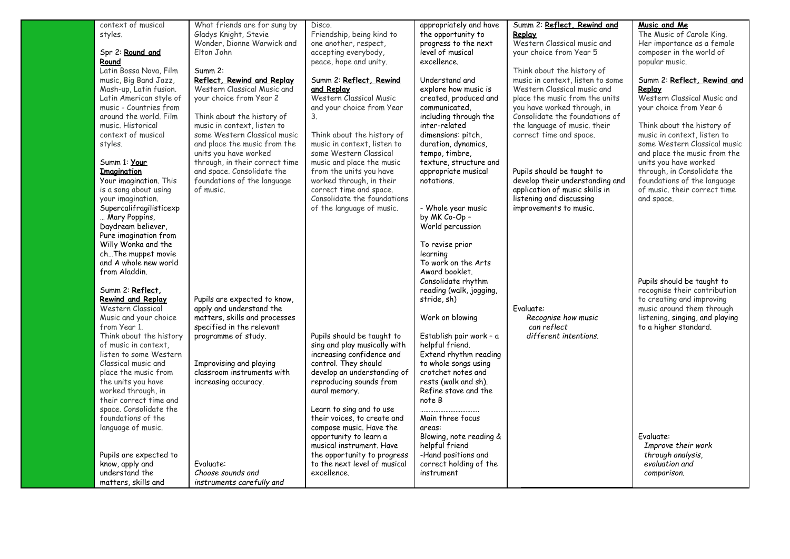| context of musical                            | What friends are for sung by                          | Disco.                                                      | appropriately and have                       | Summ 2: Reflect, Rewind and      | Music and Me                        |
|-----------------------------------------------|-------------------------------------------------------|-------------------------------------------------------------|----------------------------------------------|----------------------------------|-------------------------------------|
| styles.                                       | Gladys Knight, Stevie                                 | Friendship, being kind to                                   | the opportunity to                           | Replay                           | The Music of Carole King.           |
|                                               | Wonder, Dionne Warwick and                            | one another, respect,                                       | progress to the next                         | Western Classical music and      | Her importance as a female          |
| Spr 2: Round and                              | Elton John                                            | accepting everybody,                                        | level of musical                             | your choice from Year 5          | composer in the world of            |
| Round                                         |                                                       | peace, hope and unity.                                      | excellence.                                  |                                  | popular music.                      |
| Latin Bossa Nova, Film                        | Summ 2:                                               |                                                             |                                              | Think about the history of       |                                     |
| music, Big Band Jazz,                         | Reflect, Rewind and Replay                            | Summ 2: Reflect, Rewind                                     | Understand and                               | music in context, listen to some | Summ 2: Reflect, Rewind and         |
| Mash-up, Latin fusion.                        | Western Classical Music and                           | and Replay                                                  | explore how music is                         | Western Classical music and      | <u>Replay</u>                       |
| Latin American style of                       | your choice from Year 2                               | Western Classical Music                                     | created, produced and                        | place the music from the units   | Western Classical Music and         |
| music - Countries from                        |                                                       | and your choice from Year                                   | communicated.                                | you have worked through, in      | your choice from Year 6             |
| around the world. Film                        | Think about the history of                            | 3.                                                          | including through the                        | Consolidate the foundations of   |                                     |
| music. Historical                             | music in context, listen to                           |                                                             | inter-related                                | the language of music, their     | Think about the history of          |
| context of musical                            | some Western Classical music                          | Think about the history of                                  | dimensions: pitch,                           | correct time and space.          | music in context, listen to         |
| styles.                                       | and place the music from the                          | music in context, listen to                                 | duration, dynamics,                          |                                  | some Western Classical music        |
|                                               | units you have worked                                 | some Western Classical                                      | tempo, timbre,                               |                                  | and place the music from the        |
| Summ 1: Your                                  | through, in their correct time                        | music and place the music                                   | texture, structure and                       |                                  | units you have worked               |
| <b>Imagination</b>                            | and space. Consolidate the                            | from the units you have                                     | appropriate musical                          | Pupils should be taught to       | through, in Consolidate the         |
| Your imagination. This                        | foundations of the language                           | worked through, in their                                    | notations.                                   | develop their understanding and  | foundations of the language         |
| is a song about using                         | of music.                                             | correct time and space.                                     |                                              | application of music skills in   | of music, their correct time        |
| your imagination.                             |                                                       | Consolidate the foundations                                 |                                              | listening and discussing         | and space.                          |
| Supercalifragilisticexp                       |                                                       | of the language of music.                                   | - Whole year music                           | improvements to music.           |                                     |
| Mary Poppins,                                 |                                                       |                                                             | by MK Co-Op -                                |                                  |                                     |
| Daydream believer,                            |                                                       |                                                             | World percussion                             |                                  |                                     |
| Pure imagination from                         |                                                       |                                                             |                                              |                                  |                                     |
| Willy Wonka and the                           |                                                       |                                                             | To revise prior                              |                                  |                                     |
| ch The muppet movie                           |                                                       |                                                             | learning                                     |                                  |                                     |
| and A whole new world                         |                                                       |                                                             | To work on the Arts                          |                                  |                                     |
| from Aladdin.                                 |                                                       |                                                             | Award booklet.                               |                                  |                                     |
|                                               |                                                       |                                                             | Consolidate rhythm                           |                                  | Pupils should be taught to          |
| Summ 2: Reflect.                              |                                                       |                                                             | reading (walk, jogging,                      |                                  | recognise their contribution        |
| <b>Rewind and Replay</b>                      | Pupils are expected to know,                          |                                                             | stride, sh)                                  |                                  | to creating and improving           |
| Western Classical                             | apply and understand the                              |                                                             |                                              | Evaluate:                        | music around them through           |
|                                               | matters, skills and processes                         |                                                             | Work on blowing                              | Recognise how music              | listening, singing, and playing     |
| Music and your choice                         | specified in the relevant                             |                                                             |                                              |                                  |                                     |
| from Year 1.                                  |                                                       |                                                             |                                              | can reflect                      | to a higher standard.               |
| Think about the history                       | programme of study.                                   | Pupils should be taught to                                  | Establish pair work - a<br>helpful friend.   | different intentions.            |                                     |
| of music in context.                          |                                                       | sing and play musically with                                |                                              |                                  |                                     |
| listen to some Western<br>Classical music and |                                                       | increasing confidence and<br>control. They should           | Extend rhythm reading                        |                                  |                                     |
| place the music from                          | Improvising and playing<br>classroom instruments with | develop an understanding of                                 | to whole songs using<br>crotchet notes and   |                                  |                                     |
|                                               |                                                       |                                                             |                                              |                                  |                                     |
| the units you have<br>worked through, in      | increasing accuracy.                                  | reproducing sounds from<br>aural memory.                    | rests (walk and sh).<br>Refine stave and the |                                  |                                     |
| their correct time and                        |                                                       |                                                             | note B                                       |                                  |                                     |
| space. Consolidate the                        |                                                       |                                                             |                                              |                                  |                                     |
| foundations of the                            |                                                       | Learn to sing and to use<br>their voices, to create and     | <br>Main three focus                         |                                  |                                     |
| language of music.                            |                                                       | compose music. Have the                                     | areas:                                       |                                  |                                     |
|                                               |                                                       | opportunity to learn a                                      | Blowing, note reading &                      |                                  | Fvaluate:                           |
|                                               |                                                       |                                                             | helpful friend                               |                                  |                                     |
|                                               |                                                       | musical instrument. Have                                    | -Hand positions and                          |                                  | Improve their work                  |
| Pupils are expected to                        | Fvaluate:                                             | the opportunity to progress<br>to the next level of musical | correct holding of the                       |                                  | through analysis,<br>evaluation and |
| know, apply and<br>understand the             |                                                       | excellence.                                                 |                                              |                                  |                                     |
|                                               | Choose sounds and                                     |                                                             | instrument                                   |                                  | comparison.                         |
| matters, skills and                           | instruments carefully and                             |                                                             |                                              |                                  |                                     |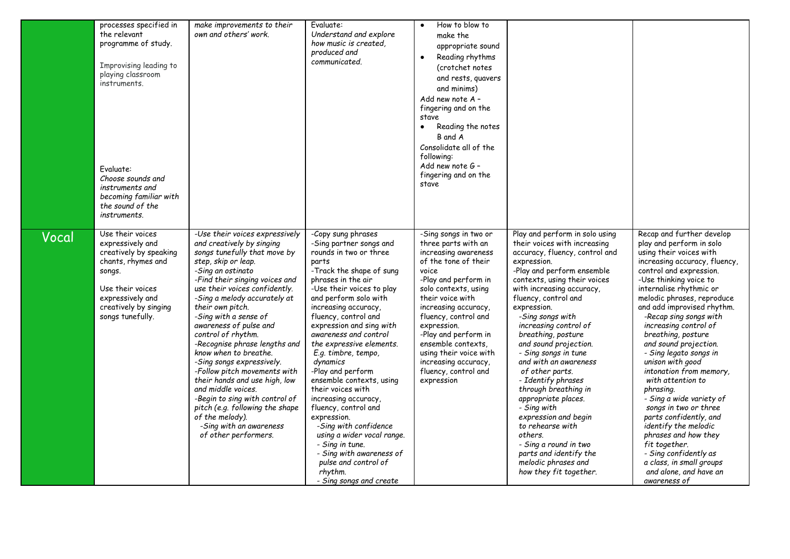|       | processes specified in<br>the relevant<br>programme of study.<br>Improvising leading to<br>playing classroom<br>instruments.<br>Evaluate:<br>Choose sounds and<br>instruments and<br>becoming familiar with<br>the sound of the<br>instruments. | make improvements to their<br>own and others' work.                                                                                                                                                                                                                                                                                                                                                                                                                                                                                                                                                                                                              | Evaluate:<br>Understand and explore<br>how music is created,<br>produced and<br>communicated.                                                                                                                                                                                                                                                                                                                                                                                                                                                                                                                                                                         | How to blow to<br>make the<br>appropriate sound<br>Reading rhythms<br>(crotchet notes<br>and rests, quavers<br>and minims)<br>Add new note A -<br>fingering and on the<br>stave<br>Reading the notes<br>$\bullet$<br>B and A<br>Consolidate all of the<br>following:<br>Add new note G -<br>fingering and on the<br>stave                                                      |                                                                                                                                                                                                                                                                                                                                                                                                                                                                                                                                                                                                                                                                  |                                                                                                                                                                                                                                                                                                                                                                                                                                                                                                                                                                                                                                                                                                                           |
|-------|-------------------------------------------------------------------------------------------------------------------------------------------------------------------------------------------------------------------------------------------------|------------------------------------------------------------------------------------------------------------------------------------------------------------------------------------------------------------------------------------------------------------------------------------------------------------------------------------------------------------------------------------------------------------------------------------------------------------------------------------------------------------------------------------------------------------------------------------------------------------------------------------------------------------------|-----------------------------------------------------------------------------------------------------------------------------------------------------------------------------------------------------------------------------------------------------------------------------------------------------------------------------------------------------------------------------------------------------------------------------------------------------------------------------------------------------------------------------------------------------------------------------------------------------------------------------------------------------------------------|--------------------------------------------------------------------------------------------------------------------------------------------------------------------------------------------------------------------------------------------------------------------------------------------------------------------------------------------------------------------------------|------------------------------------------------------------------------------------------------------------------------------------------------------------------------------------------------------------------------------------------------------------------------------------------------------------------------------------------------------------------------------------------------------------------------------------------------------------------------------------------------------------------------------------------------------------------------------------------------------------------------------------------------------------------|---------------------------------------------------------------------------------------------------------------------------------------------------------------------------------------------------------------------------------------------------------------------------------------------------------------------------------------------------------------------------------------------------------------------------------------------------------------------------------------------------------------------------------------------------------------------------------------------------------------------------------------------------------------------------------------------------------------------------|
| Vocal | Use their voices<br>expressively and<br>creatively by speaking<br>chants, rhymes and<br>songs.<br>Use their voices<br>expressively and<br>creatively by singing<br>songs tunefully.                                                             | -Use their voices expressively<br>and creatively by singing<br>songs tunefully that move by<br>step, skip or leap.<br>-Sing an ostinato<br>-Find their singing voices and<br>use their voices confidently.<br>-Sing a melody accurately at<br>their own pitch.<br>-Sing with a sense of<br>awareness of pulse and<br>control of rhythm.<br>-Recognise phrase lengths and<br>know when to breathe.<br>-Sing songs expressively.<br>-Follow pitch movements with<br>their hands and use high, low<br>and middle voices.<br>-Begin to sing with control of<br>pitch (e.g. following the shape<br>of the melody).<br>-Sing with an awareness<br>of other performers. | -Copy sung phrases<br>-Sing partner songs and<br>rounds in two or three<br>parts<br>-Track the shape of sung<br>phrases in the air<br>-Use their voices to play<br>and perform solo with<br>increasing accuracy,<br>fluency, control and<br>expression and sing with<br>awareness and control<br>the expressive elements.<br>E.g. timbre, tempo,<br>dynamics<br>-Play and perform<br>ensemble contexts, using<br>their voices with<br>increasing accuracy,<br>fluency, control and<br>expression.<br>-Sing with confidence<br>using a wider vocal range.<br>- Sing in tune.<br>- Sing with awareness of<br>pulse and control of<br>rhythm.<br>- Sing songs and create | -Sing songs in two or<br>three parts with an<br>increasing awareness<br>of the tone of their<br>voice<br>-Play and perform in<br>solo contexts, using<br>their voice with<br>increasing accuracy,<br>fluency, control and<br>expression.<br>-Play and perform in<br>ensemble contexts.<br>using their voice with<br>increasing accuracy,<br>fluency, control and<br>expression | Play and perform in solo using<br>their voices with increasing<br>accuracy, fluency, control and<br>expression.<br>-Play and perform ensemble<br>contexts, using their voices<br>with increasing accuracy,<br>fluency, control and<br>expression.<br>-Sing songs with<br>increasing control of<br>breathing, posture<br>and sound projection.<br>- Sing songs in tune<br>and with an awareness<br>of other parts.<br>- Identify phrases<br>through breathing in<br>appropriate places.<br>- Sing with<br>expression and begin<br>to rehearse with<br>others.<br>- Sing a round in two<br>parts and identify the<br>melodic phrases and<br>how they fit together. | Recap and further develop<br>play and perform in solo<br>using their voices with<br>increasing accuracy, fluency,<br>control and expression.<br>-Use thinking voice to<br>internalise rhythmic or<br>melodic phrases, reproduce<br>and add improvised rhythm.<br>-Recap sing songs with<br>increasing control of<br>breathing, posture<br>and sound projection.<br>- Sing legato songs in<br>unison with good<br>intonation from memory,<br>with attention to<br>phrasing.<br>- Sing a wide variety of<br>songs in two or three<br>parts confidently, and<br>identify the melodic<br>phrases and how they<br>fit together.<br>- Sing confidently as<br>a class, in small groups<br>and alone, and have an<br>awareness of |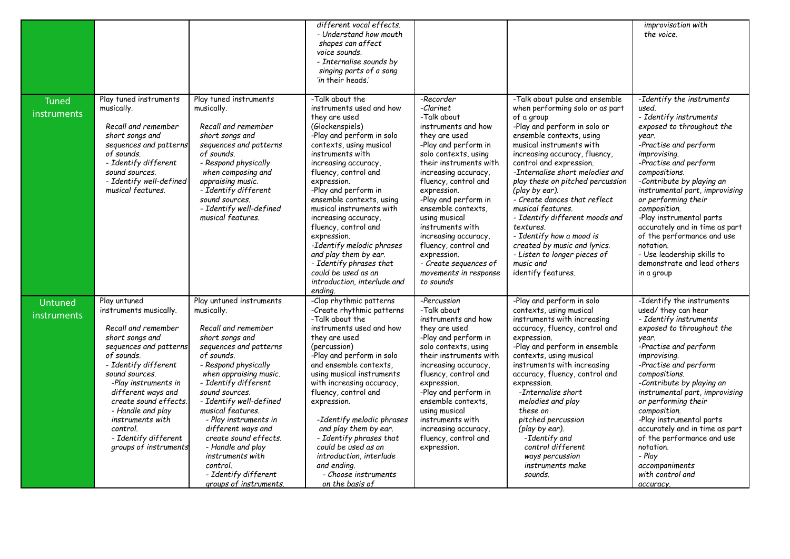|                             |                                                                                                                                                                                                                                                                                                                                                 |                                                                                                                                                                                                                                                                                                                                                                                                                                                     | different vocal effects.<br>- Understand how mouth<br>shapes can affect<br>voice sounds.<br>- Internalise sounds by<br>singing parts of a song<br>'in their heads.'                                                                                                                                                                                                                                                                                                                                                         |                                                                                                                                                                                                                                                                                                                                                                                                                                         |                                                                                                                                                                                                                                                                                                                                                                                                                                                                                                                                                                 | <i>improvisation</i> with<br>the voice.                                                                                                                                                                                                                                                                                                                                                                                                                                                |
|-----------------------------|-------------------------------------------------------------------------------------------------------------------------------------------------------------------------------------------------------------------------------------------------------------------------------------------------------------------------------------------------|-----------------------------------------------------------------------------------------------------------------------------------------------------------------------------------------------------------------------------------------------------------------------------------------------------------------------------------------------------------------------------------------------------------------------------------------------------|-----------------------------------------------------------------------------------------------------------------------------------------------------------------------------------------------------------------------------------------------------------------------------------------------------------------------------------------------------------------------------------------------------------------------------------------------------------------------------------------------------------------------------|-----------------------------------------------------------------------------------------------------------------------------------------------------------------------------------------------------------------------------------------------------------------------------------------------------------------------------------------------------------------------------------------------------------------------------------------|-----------------------------------------------------------------------------------------------------------------------------------------------------------------------------------------------------------------------------------------------------------------------------------------------------------------------------------------------------------------------------------------------------------------------------------------------------------------------------------------------------------------------------------------------------------------|----------------------------------------------------------------------------------------------------------------------------------------------------------------------------------------------------------------------------------------------------------------------------------------------------------------------------------------------------------------------------------------------------------------------------------------------------------------------------------------|
| <b>Tuned</b><br>instruments | Play tuned instruments<br>musically.<br>Recall and remember<br>short songs and<br>sequences and patterns<br>of sounds.<br>- Identify different<br>sound sources.<br>- Identify well-defined<br>musical features.                                                                                                                                | Play tuned instruments<br>musically.<br>Recall and remember<br>short songs and<br>sequences and patterns<br>of sounds.<br>- Respond physically<br>when composing and<br>appraising music.<br>- Identify different<br>sound sources.<br>- Identify well-defined<br>musical features.                                                                                                                                                                 | -Talk about the<br>instruments used and how<br>they are used<br>(Glockenspiels)<br>-Play and perform in solo<br>contexts, using musical<br>instruments with<br>increasing accuracy,<br>fluency, control and<br>expression.<br>-Play and perform in<br>ensemble contexts, using<br>musical instruments with<br>increasing accuracy,<br>fluency, control and<br>expression.<br>-Identify melodic phrases<br>and play them by ear.<br>- Identify phrases that<br>could be used as an<br>introduction, interlude and<br>ending. | -Recorder<br>-Clarinet<br>-Talk about<br>instruments and how<br>they are used<br>-Play and perform in<br>solo contexts, using<br>their instruments with<br>increasing accuracy,<br>fluency, control and<br>expression.<br>-Play and perform in<br>ensemble contexts.<br>using musical<br>instruments with<br>increasing accuracy,<br>fluency, control and<br>expression.<br>- Create sequences of<br>movements in response<br>to sounds | -Talk about pulse and ensemble<br>when performing solo or as part<br>of a group<br>-Play and perform in solo or<br>ensemble contexts, using<br>musical instruments with<br>increasing accuracy, fluency,<br>control and expression.<br>-Internalise short melodies and<br>play these on pitched percussion<br>(play by ear).<br>- Create dances that reflect<br>musical features.<br>- Identify different moods and<br>textures.<br>- Identify how a mood is<br>created by music and lyrics.<br>- Listen to longer pieces of<br>music and<br>identify features. | -Identify the instruments<br>used.<br>- Identify instruments<br>exposed to throughout the<br>year.<br>-Practise and perform<br><i>improvising.</i><br>-Practise and perform<br>compositions.<br>-Contribute by playing an<br>instrumental part, improvising<br>or performing their<br>composition.<br>-Play instrumental parts<br>accurately and in time as part<br>of the performance and use<br>notation.<br>- Use leadership skills to<br>demonstrate and lead others<br>in a group |
| Untuned<br>instruments      | Play untuned<br>instruments musically.<br>Recall and remember<br>short songs and<br>sequences and patterns<br>of sounds.<br>- Identify different<br>sound sources.<br>-Play instruments in<br>different ways and<br>create sound effects.<br>- Handle and play<br>instruments with<br>control.<br>- Identify different<br>groups of instruments | Play untuned instruments<br>musically.<br>Recall and remember<br>short songs and<br>sequences and patterns<br>of sounds.<br>- Respond physically<br>when appraising music.<br>- Identify different<br>sound sources.<br>- Identify well-defined<br>musical features.<br>- Play instruments in<br>different ways and<br>create sound effects.<br>- Handle and play<br>instruments with<br>control.<br>- Identify different<br>groups of instruments. | -Clap rhythmic patterns<br>-Create rhythmic patterns<br>-Talk about the<br>instruments used and how<br>they are used<br>(percussion)<br>-Play and perform in solo<br>and ensemble contexts,<br>using musical instruments<br>with increasing accuracy,<br>fluency, control and<br>expression.<br>-Identify melodic phrases<br>and play them by ear.<br>- Identify phrases that<br>could be used as an<br>introduction, interlude<br>and ending.<br>- Choose instruments<br>on the basis of                                   | -Percussion<br>-Talk about<br>instruments and how<br>they are used<br>-Play and perform in<br>solo contexts, using<br>their instruments with<br>increasing accuracy,<br>fluency, control and<br>expression.<br>-Play and perform in<br>ensemble contexts.<br>using musical<br>instruments with<br>increasing accuracy,<br>fluency, control and<br>expression.                                                                           | -Play and perform in solo<br>contexts, using musical<br>instruments with increasing<br>accuracy, fluency, control and<br>expression.<br>-Play and perform in ensemble<br>contexts, using musical<br>instruments with increasing<br>accuracy, fluency, control and<br>expression.<br>-Internalise short<br>melodies and play<br>these on<br>pitched percussion<br>(play by ear).<br>-Identify and<br>control different<br>ways percussion<br>instruments make<br>sounds.                                                                                         | -Identify the instruments<br>used/ they can hear<br>- Identify instruments<br>exposed to throughout the<br>year.<br>-Practise and perform<br>improvising.<br>-Practise and perform<br>compositions.<br>-Contribute by playing an<br>instrumental part, improvising<br>or performing their<br>composition.<br>-Play instrumental parts<br>accurately and in time as part<br>of the performance and use<br>notation.<br>- Play<br>accompaniments<br>with control and<br>accuracy.        |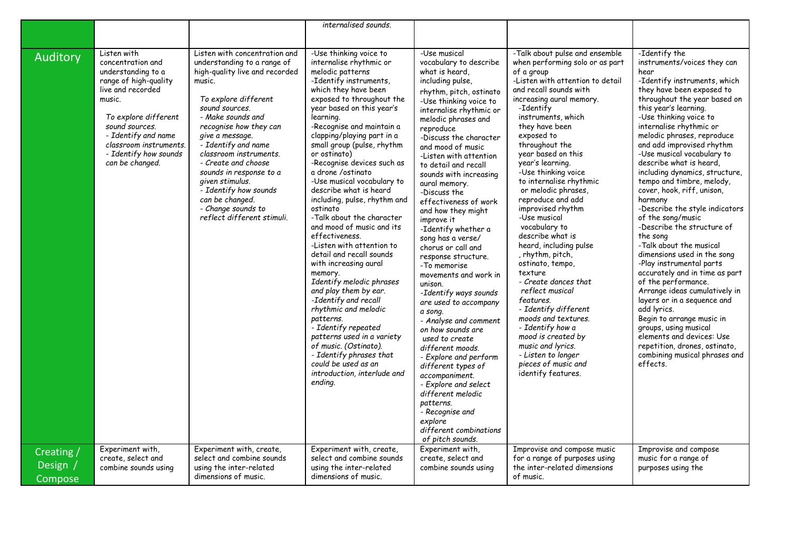|                                   |                                                                                                                                                                                                                                                                           |                                                                                                                                                                                                                                                                                                                                                                                                                                                                        | internalised sounds.                                                                                                                                                                                                                                                                                                                                                                                                                                                                                                                                                                                                                                                                                                                                                                                                                                                                                                                                            |                                                                                                                                                                                                                                                                                                                                                                                                                                                                                                                                                                                                                                                                                                                                                                                                                                                                                                                                                    |                                                                                                                                                                                                                                                                                                                                                                                                                                                                                                                                                                                                                                                                                                                                                                                                                                       |                                                                                                                                                                                                                                                                                                                                                                                                                                                                                                                                                                                                                                                                                                                                                                                                                                                                                                                                                                                      |
|-----------------------------------|---------------------------------------------------------------------------------------------------------------------------------------------------------------------------------------------------------------------------------------------------------------------------|------------------------------------------------------------------------------------------------------------------------------------------------------------------------------------------------------------------------------------------------------------------------------------------------------------------------------------------------------------------------------------------------------------------------------------------------------------------------|-----------------------------------------------------------------------------------------------------------------------------------------------------------------------------------------------------------------------------------------------------------------------------------------------------------------------------------------------------------------------------------------------------------------------------------------------------------------------------------------------------------------------------------------------------------------------------------------------------------------------------------------------------------------------------------------------------------------------------------------------------------------------------------------------------------------------------------------------------------------------------------------------------------------------------------------------------------------|----------------------------------------------------------------------------------------------------------------------------------------------------------------------------------------------------------------------------------------------------------------------------------------------------------------------------------------------------------------------------------------------------------------------------------------------------------------------------------------------------------------------------------------------------------------------------------------------------------------------------------------------------------------------------------------------------------------------------------------------------------------------------------------------------------------------------------------------------------------------------------------------------------------------------------------------------|---------------------------------------------------------------------------------------------------------------------------------------------------------------------------------------------------------------------------------------------------------------------------------------------------------------------------------------------------------------------------------------------------------------------------------------------------------------------------------------------------------------------------------------------------------------------------------------------------------------------------------------------------------------------------------------------------------------------------------------------------------------------------------------------------------------------------------------|--------------------------------------------------------------------------------------------------------------------------------------------------------------------------------------------------------------------------------------------------------------------------------------------------------------------------------------------------------------------------------------------------------------------------------------------------------------------------------------------------------------------------------------------------------------------------------------------------------------------------------------------------------------------------------------------------------------------------------------------------------------------------------------------------------------------------------------------------------------------------------------------------------------------------------------------------------------------------------------|
|                                   |                                                                                                                                                                                                                                                                           |                                                                                                                                                                                                                                                                                                                                                                                                                                                                        |                                                                                                                                                                                                                                                                                                                                                                                                                                                                                                                                                                                                                                                                                                                                                                                                                                                                                                                                                                 |                                                                                                                                                                                                                                                                                                                                                                                                                                                                                                                                                                                                                                                                                                                                                                                                                                                                                                                                                    |                                                                                                                                                                                                                                                                                                                                                                                                                                                                                                                                                                                                                                                                                                                                                                                                                                       |                                                                                                                                                                                                                                                                                                                                                                                                                                                                                                                                                                                                                                                                                                                                                                                                                                                                                                                                                                                      |
| Auditory                          | Listen with<br>concentration and<br>understanding to a<br>range of high-quality<br>live and recorded<br>music.<br>To explore different<br>sound sources.<br>- Identify and name<br>classroom instruments.<br>- Identify how sounds<br>can be changed.<br>Experiment with, | Listen with concentration and<br>understanding to a range of<br>high-quality live and recorded<br>music.<br>To explore different<br>sound sources.<br>- Make sounds and<br>recognise how they can<br>give a message.<br>- Identify and name<br>classroom instruments.<br>- Create and choose<br>sounds in response to a<br>given stimulus.<br>- Identify how sounds<br>can be changed.<br>- Change sounds to<br>reflect different stimuli.<br>Experiment with, create, | -Use thinking voice to<br>internalise rhythmic or<br>melodic patterns<br>-Identify instruments,<br>which they have been<br>exposed to throughout the<br>year based on this year's<br>learning.<br>-Recognise and maintain a<br>clapping/playing part in a<br>small group (pulse, rhythm<br>or ostinato)<br>-Recognise devices such as<br>a drone /ostinato<br>-Use musical vocabulary to<br>describe what is heard<br>including, pulse, rhythm and<br>ostinato<br>-Talk about the character<br>and mood of music and its<br>effectiveness.<br>-Listen with attention to<br>detail and recall sounds<br>with increasing aural<br>memory.<br>Identify melodic phrases<br>and play them by ear.<br>-Identify and recall<br>rhythmic and melodic<br>patterns.<br>- Identify repeated<br>patterns used in a variety<br>of music. (Ostinato).<br>- Identify phrases that<br>could be used as an<br>introduction, interlude and<br>ending.<br>Experiment with, create, | -Use musical<br>vocabulary to describe<br>what is heard.<br>including pulse,<br>rhythm, pitch, ostinato<br>-Use thinking voice to<br>internalise rhythmic or<br>melodic phrases and<br>reproduce<br>-Discuss the character<br>and mood of music<br>-Listen with attention<br>to detail and recall<br>sounds with increasing<br>aural memory.<br>-Discuss the<br>effectiveness of work<br>and how they might<br>improve it<br>-Identify whether a<br>song has a verse/<br>chorus or call and<br>response structure.<br>-To memorise<br>movements and work in<br>unison.<br>-Identify ways sounds<br>are used to accompany<br>a song.<br>- Analyse and comment<br>on how sounds are<br>used to create<br>different moods.<br>- Explore and perform<br>different types of<br>accompaniment.<br>- Explore and select<br>different melodic<br>patterns.<br>- Recognise and<br>explore<br>different combinations<br>of pitch sounds.<br>Experiment with, | -Talk about pulse and ensemble<br>when performing solo or as part<br>of a group<br>-Listen with attention to detail<br>and recall sounds with<br>increasing aural memory.<br>-Identify<br>instruments, which<br>they have been<br>exposed to<br>throughout the<br>year based on this<br>year's learning.<br>-Use thinking voice<br>to internalise rhythmic<br>or melodic phrases.<br>reproduce and add<br>improvised rhythm<br>-Use musical<br>vocabulary to<br>describe what is<br>heard, including pulse<br>, rhythm, pitch,<br>ostinato, tempo,<br>texture<br>- Create dances that<br>reflect musical<br>features.<br>- Identify different<br>moods and textures.<br>- Identify how a<br>mood is created by<br>music and lyrics.<br>- Listen to longer<br>pieces of music and<br>identify features.<br>Improvise and compose music | -Identify the<br>instruments/voices they can<br>hear<br>-Identify instruments, which<br>they have been exposed to<br>throughout the year based on<br>this year's learning.<br>-Use thinking voice to<br>internalise rhythmic or<br>melodic phrases, reproduce<br>and add improvised rhythm<br>-Use musical vocabulary to<br>describe what is heard,<br>including dynamics, structure,<br>tempo and timbre, melody,<br>cover, hook, riff, unison,<br>harmony<br>-Describe the style indicators<br>of the song/music<br>-Describe the structure of<br>the song<br>-Talk about the musical<br>dimensions used in the song<br>-Play instrumental parts<br>accurately and in time as part<br>of the performance.<br>Arrange ideas cumulatively in<br>layers or in a sequence and<br>add lyrics.<br>Begin to arrange music in<br>groups, using musical<br>elements and devices: Use<br>repetition, drones, ostinato,<br>combining musical phrases and<br>effects.<br>Improvise and compose |
| Creating /<br>Design /<br>Compose | create, select and<br>combine sounds using                                                                                                                                                                                                                                | select and combine sounds<br>using the inter-related<br>dimensions of music.                                                                                                                                                                                                                                                                                                                                                                                           | select and combine sounds<br>using the inter-related<br>dimensions of music.                                                                                                                                                                                                                                                                                                                                                                                                                                                                                                                                                                                                                                                                                                                                                                                                                                                                                    | create, select and<br>combine sounds using                                                                                                                                                                                                                                                                                                                                                                                                                                                                                                                                                                                                                                                                                                                                                                                                                                                                                                         | for a range of purposes using<br>the inter-related dimensions<br>of music.                                                                                                                                                                                                                                                                                                                                                                                                                                                                                                                                                                                                                                                                                                                                                            | music for a range of<br>purposes using the                                                                                                                                                                                                                                                                                                                                                                                                                                                                                                                                                                                                                                                                                                                                                                                                                                                                                                                                           |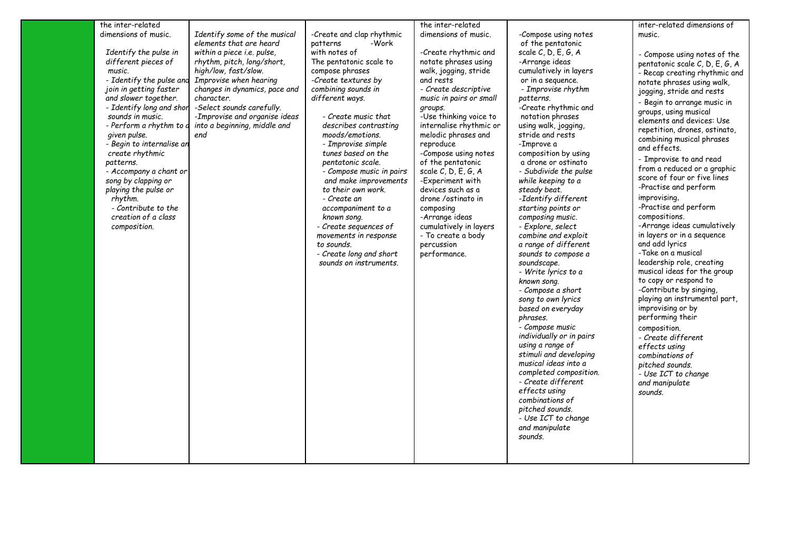| the inter-related         |                               |                           | the inter-related                     |                          |                                |
|---------------------------|-------------------------------|---------------------------|---------------------------------------|--------------------------|--------------------------------|
|                           |                               |                           |                                       |                          | inter-related dimensions of    |
| dimensions of music.      | Identify some of the musical  | -Create and clap rhythmic | dimensions of music.                  | -Compose using notes     | music.                         |
|                           | elements that are heard       | -Work<br>patterns         |                                       | of the pentatonic        |                                |
| Identify the pulse in     | within a piece i.e. pulse,    | with notes of             | -Create rhythmic and                  | scale $C, D, E, G, A$    | - Compose using notes of the   |
| different pieces of       | rhythm, pitch, long/short,    | The pentatonic scale to   | notate phrases using                  | -Arrange ideas           | pentatonic scale C, D, E, G, A |
| music.                    | high/low, fast/slow.          | compose phrases           | walk, jogging, stride                 | cumulatively in layers   | - Recap creating rhythmic and  |
| - Identify the pulse and  | Improvise when hearing        | -Create textures by       | and rests                             | or in a sequence.        | notate phrases using walk,     |
| join in getting faster    | changes in dynamics, pace and | combining sounds in       | - Create descriptive                  | - Improvise rhythm       | jogging, stride and rests      |
| and slower together.      | character.                    | different ways.           | music in pairs or small               | patterns.                |                                |
| - Identify long and shor  | -Select sounds carefully.     |                           | groups.                               | -Create rhythmic and     | - Begin to arrange music in    |
| sounds in music.          | -Improvise and organise ideas | - Create music that       | -Use thinking voice to                | notation phrases         | groups, using musical          |
| - Perform a rhythm to d   | into a beginning, middle and  | describes contrasting     | internalise rhythmic or               | using walk, jogging,     | elements and devices: Use      |
| given pulse.              | end                           | moods/emotions.           | melodic phrases and                   | stride and rests         | repetition, drones, ostinato,  |
| - Begin to internalise an |                               | - Improvise simple        | reproduce                             | -Improve a               | combining musical phrases      |
| create rhythmic           |                               | tunes based on the        | -Compose using notes                  | composition by using     | and effects.                   |
| patterns.                 |                               | pentatonic scale.         | of the pentatonic                     | a drone or ostinato      | - Improvise to and read        |
|                           |                               |                           |                                       |                          | from a reduced or a graphic    |
| - Accompany a chant or    |                               | - Compose music in pairs  | scale C, D, E, G, A                   | - Subdivide the pulse    | score of four or five lines    |
| song by clapping or       |                               | and make improvements     | -Experiment with<br>devices such as a | while keeping to a       | -Practise and perform          |
| playing the pulse or      |                               | to their own work.        |                                       | steady beat.             | improvising.                   |
| rhythm.                   |                               | - Create an               | drone/ostinato in                     | -Identify different      | -Practise and perform          |
| - Contribute to the       |                               | accompaniment to a        | composing                             | starting points or       |                                |
| creation of a class       |                               | known song.               | -Arrange ideas                        | composing music.         | compositions.                  |
| composition.              |                               | - Create sequences of     | cumulatively in layers                | - Explore, select        | -Arrange ideas cumulatively    |
|                           |                               | movements in response     | - To create a body                    | combine and exploit      | in layers or in a sequence     |
|                           |                               | to sounds.                | percussion                            | a range of different     | and add lyrics                 |
|                           |                               | - Create long and short   | performance.                          | sounds to compose a      | -Take on a musical             |
|                           |                               | sounds on instruments.    |                                       | soundscape.              | leadership role, creating      |
|                           |                               |                           |                                       | - Write lyrics to a      | musical ideas for the group    |
|                           |                               |                           |                                       | known song.              | to copy or respond to          |
|                           |                               |                           |                                       | - Compose a short        | -Contribute by singing,        |
|                           |                               |                           |                                       | song to own lyrics       | playing an instrumental part,  |
|                           |                               |                           |                                       | based on everyday        | improvising or by              |
|                           |                               |                           |                                       | phrases.                 | performing their               |
|                           |                               |                           |                                       | - Compose music          | composition.                   |
|                           |                               |                           |                                       | individually or in pairs | - Create different             |
|                           |                               |                           |                                       | using a range of         | effects using                  |
|                           |                               |                           |                                       | stimuli and developing   | combinations of                |
|                           |                               |                           |                                       | musical ideas into a     | pitched sounds.                |
|                           |                               |                           |                                       | completed composition.   | - Use ICT to change            |
|                           |                               |                           |                                       | - Create different       |                                |
|                           |                               |                           |                                       | effects using            | and manipulate                 |
|                           |                               |                           |                                       | combinations of          | sounds.                        |
|                           |                               |                           |                                       | pitched sounds.          |                                |
|                           |                               |                           |                                       |                          |                                |
|                           |                               |                           |                                       | - Use ICT to change      |                                |
|                           |                               |                           |                                       | and manipulate           |                                |
|                           |                               |                           |                                       | sounds.                  |                                |
|                           |                               |                           |                                       |                          |                                |
|                           |                               |                           |                                       |                          |                                |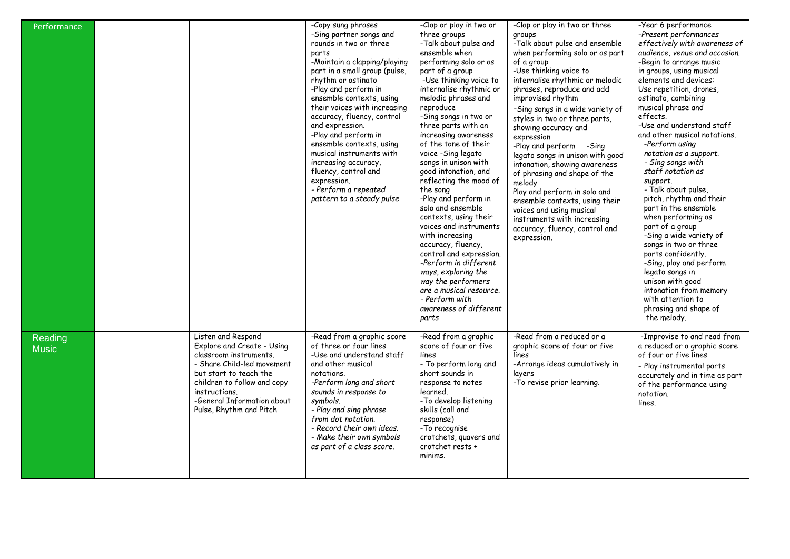| Performance             |                                                                                                                                                                                                                                             | -Copy sung phrases<br>-Sing partner songs and<br>rounds in two or three<br>parts<br>-Maintain a clapping/playing<br>part in a small group (pulse,<br>rhythm or ostinato<br>-Play and perform in<br>ensemble contexts, using<br>their voices with increasing<br>accuracy, fluency, control<br>and expression.<br>-Play and perform in<br>ensemble contexts, using<br>musical instruments with<br>increasing accuracy,<br>fluency, control and<br>expression.<br>- Perform a repeated<br>pattern to a steady pulse | -Clap or play in two or<br>three groups<br>-Talk about pulse and<br>ensemble when<br>performing solo or as<br>part of a group<br>-Use thinking voice to<br>internalise rhythmic or<br>melodic phrases and<br>reproduce<br>-Sing songs in two or<br>three parts with an<br>increasing awareness<br>of the tone of their<br>voice -Sing legato<br>songs in unison with<br>good intonation, and<br>reflecting the mood of<br>the song<br>-Play and perform in<br>solo and ensemble<br>contexts, using their<br>voices and instruments<br>with increasing<br>accuracy, fluency,<br>control and expression.<br>-Perform in different<br>ways, exploring the<br>way the performers<br>are a musical resource.<br>- Perform with<br>awareness of different<br>parts | -Clap or play in two or three<br>groups<br>-Talk about pulse and ensemble<br>when performing solo or as part<br>of a group<br>-Use thinking voice to<br>internalise rhythmic or melodic<br>phrases, reproduce and add<br>improvised rhythm<br>-Sing songs in a wide variety of<br>styles in two or three parts,<br>showing accuracy and<br>expression<br>-Play and perform -Sing<br>legato songs in unison with good<br>intonation, showing awareness<br>of phrasing and shape of the<br>melody<br>Play and perform in solo and<br>ensemble contexts, using their<br>voices and using musical<br>instruments with increasing<br>accuracy, fluency, control and<br>expression. | -Year 6 performance<br>-Present performances<br>effectively with awareness of<br>audience, venue and occasion.<br>-Begin to arrange music<br>in groups, using musical<br>elements and devices:<br>Use repetition, drones,<br>ostinato, combining<br>musical phrase and<br>effects.<br>-Use and understand staff<br>and other musical notations.<br>-Perform using<br>notation as a support.<br>- Sing songs with<br>staff notation as<br>support.<br>- Talk about pulse,<br>pitch, rhythm and their<br>part in the ensemble<br>when performing as<br>part of a group<br>-Sing a wide variety of<br>songs in two or three<br>parts confidently.<br>-Sing, play and perform<br>legato songs in<br>unison with good<br>intonation from memory<br>with attention to<br>phrasing and shape of<br>the melody. |
|-------------------------|---------------------------------------------------------------------------------------------------------------------------------------------------------------------------------------------------------------------------------------------|------------------------------------------------------------------------------------------------------------------------------------------------------------------------------------------------------------------------------------------------------------------------------------------------------------------------------------------------------------------------------------------------------------------------------------------------------------------------------------------------------------------|--------------------------------------------------------------------------------------------------------------------------------------------------------------------------------------------------------------------------------------------------------------------------------------------------------------------------------------------------------------------------------------------------------------------------------------------------------------------------------------------------------------------------------------------------------------------------------------------------------------------------------------------------------------------------------------------------------------------------------------------------------------|-------------------------------------------------------------------------------------------------------------------------------------------------------------------------------------------------------------------------------------------------------------------------------------------------------------------------------------------------------------------------------------------------------------------------------------------------------------------------------------------------------------------------------------------------------------------------------------------------------------------------------------------------------------------------------|---------------------------------------------------------------------------------------------------------------------------------------------------------------------------------------------------------------------------------------------------------------------------------------------------------------------------------------------------------------------------------------------------------------------------------------------------------------------------------------------------------------------------------------------------------------------------------------------------------------------------------------------------------------------------------------------------------------------------------------------------------------------------------------------------------|
| Reading<br><b>Music</b> | Listen and Respond<br>Explore and Create - Using<br>classroom instruments.<br>- Share Child-led movement<br>but start to teach the<br>children to follow and copy<br>instructions.<br>-General Information about<br>Pulse, Rhythm and Pitch | -Read from a graphic score<br>of three or four lines<br>-Use and understand staff<br>and other musical<br>notations.<br>-Perform long and short<br>sounds in response to<br>symbols.<br>- Play and sing phrase<br>from dot notation.<br>- Record their own ideas.<br>- Make their own symbols<br>as part of a class score.                                                                                                                                                                                       | -Read from a graphic<br>score of four or five<br>lines<br>- To perform long and<br>short sounds in<br>response to notes<br>learned.<br>-To develop listening<br>skills (call and<br>response)<br>-To recognise<br>crotchets, quavers and<br>crotchet rests +<br>minims.                                                                                                                                                                                                                                                                                                                                                                                                                                                                                      | -Read from a reduced or a<br>graphic score of four or five<br>lines<br>-Arrange ideas cumulatively in<br>layers<br>-To revise prior learning.                                                                                                                                                                                                                                                                                                                                                                                                                                                                                                                                 | -Improvise to and read from<br>a reduced or a graphic score<br>of four or five lines<br>- Play instrumental parts<br>accurately and in time as part<br>of the performance using<br>notation.<br>lines.                                                                                                                                                                                                                                                                                                                                                                                                                                                                                                                                                                                                  |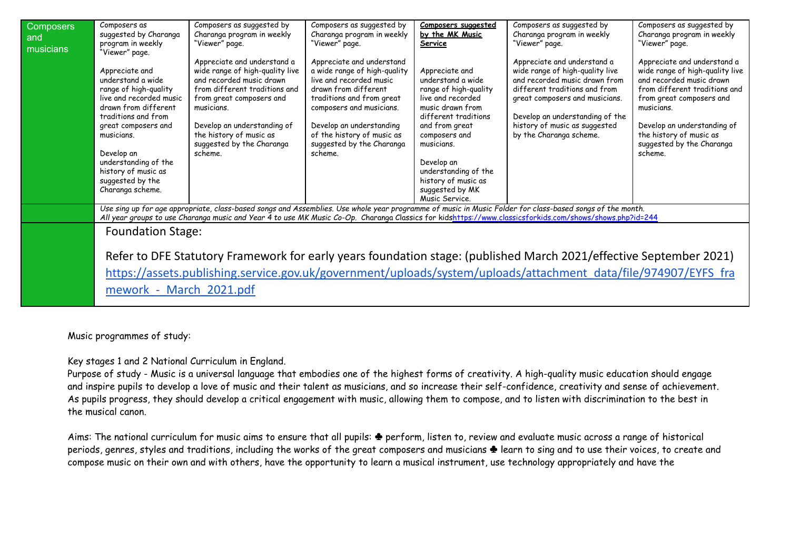| <b>Composers</b><br>and<br>musicians | Composers as<br>suggested by Charanga<br>program in weekly<br>"Viewer" page.                                                                                                                                                                                                     | Composers as suggested by<br>Charanga program in weekly<br>"Viewer" page.                                                                                                                                                                                               | Composers as suggested by<br>Charanga program in weekly<br>"Viewer" page.                                                                                                                                                                                               | Composers suggested<br>by the MK Music<br>Service                                                                                                                                                                                                                                | Composers as suggested by<br>Charanga program in weekly<br>"Viewer" page.                                                                                                                                                                                                                                            | Composers as suggested by<br>Charanga program in weekly<br>"Viewer" page.                                                                                                                                                                                               |
|--------------------------------------|----------------------------------------------------------------------------------------------------------------------------------------------------------------------------------------------------------------------------------------------------------------------------------|-------------------------------------------------------------------------------------------------------------------------------------------------------------------------------------------------------------------------------------------------------------------------|-------------------------------------------------------------------------------------------------------------------------------------------------------------------------------------------------------------------------------------------------------------------------|----------------------------------------------------------------------------------------------------------------------------------------------------------------------------------------------------------------------------------------------------------------------------------|----------------------------------------------------------------------------------------------------------------------------------------------------------------------------------------------------------------------------------------------------------------------------------------------------------------------|-------------------------------------------------------------------------------------------------------------------------------------------------------------------------------------------------------------------------------------------------------------------------|
|                                      | Appreciate and<br>understand a wide<br>range of high-quality<br>live and recorded music<br>drawn from different<br>traditions and from<br>great composers and<br>musicians.<br>Develop an<br>understanding of the<br>history of music as<br>suggested by the<br>Charanga scheme. | Appreciate and understand a<br>wide range of high-quality live<br>and recorded music drawn<br>from different traditions and<br>from great composers and<br>musicians.<br>Develop an understanding of<br>the history of music as<br>suggested by the Charanga<br>scheme. | Appreciate and understand<br>a wide range of high-quality<br>live and recorded music<br>drawn from different<br>traditions and from great<br>composers and musicians.<br>Develop an understanding<br>of the history of music as<br>suggested by the Charanga<br>scheme. | Appreciate and<br>understand a wide<br>range of high-quality<br>live and recorded<br>music drawn from<br>different traditions<br>and from great<br>composers and<br>musicians.<br>Develop an<br>understanding of the<br>history of music as<br>suggested by MK<br>Music Service. | Appreciate and understand a<br>wide range of high-quality live<br>and recorded music drawn from<br>different traditions and from<br>great composers and musicians.<br>Develop an understanding of the<br>history of music as suggested<br>by the Charanga scheme.                                                    | Appreciate and understand a<br>wide range of high-quality live<br>and recorded music drawn<br>from different traditions and<br>from great composers and<br>musicians.<br>Develop an understanding of<br>the history of music as<br>suggested by the Charanga<br>scheme. |
|                                      |                                                                                                                                                                                                                                                                                  |                                                                                                                                                                                                                                                                         |                                                                                                                                                                                                                                                                         |                                                                                                                                                                                                                                                                                  | Use sing up for age appropriate, class-based songs and Assemblies. Use whole year programme of music in Music Folder for class-based songs of the month.<br>All year groups to use Charanga music and Year 4 to use MK Music Co-Op. Charanga Classics for kidshttps://www.classicsforkids.com/shows/shows.php?id=244 |                                                                                                                                                                                                                                                                         |
|                                      | <b>Foundation Stage:</b><br>mework - March 2021.pdf                                                                                                                                                                                                                              |                                                                                                                                                                                                                                                                         |                                                                                                                                                                                                                                                                         |                                                                                                                                                                                                                                                                                  | Refer to DFE Statutory Framework for early years foundation stage: (published March 2021/effective September 2021)<br>https://assets.publishing.service.gov.uk/government/uploads/system/uploads/attachment data/file/974907/EYFS fra                                                                                |                                                                                                                                                                                                                                                                         |

## Music programmes of study:

Key stages 1 and 2 National Curriculum in England.

Purpose of study - Music is a universal language that embodies one of the highest forms of creativity. A high-quality music education should engage and inspire pupils to develop a love of music and their talent as musicians, and so increase their self-confidence, creativity and sense of achievement. As pupils progress, they should develop a critical engagement with music, allowing them to compose, and to listen with discrimination to the best in the musical canon.

Aims: The national curriculum for music aims to ensure that all pupils: ♣ perform, listen to, review and evaluate music across a range of historical periods, genres, styles and traditions, including the works of the great composers and musicians  $\triangleq$  learn to sing and to use their voices, to create and compose music on their own and with others, have the opportunity to learn a musical instrument, use technology appropriately and have the